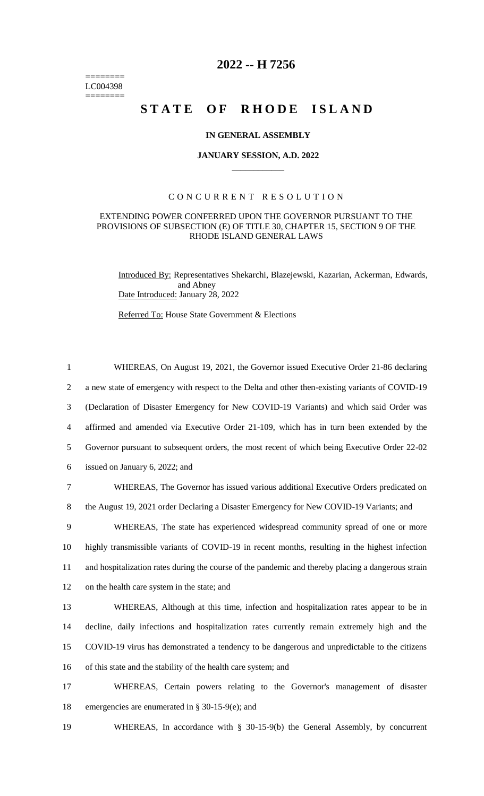======== LC004398 ========

# **2022 -- H 7256**

# STATE OF RHODE ISLAND

## **IN GENERAL ASSEMBLY**

#### **JANUARY SESSION, A.D. 2022 \_\_\_\_\_\_\_\_\_\_\_\_**

# CONCURRENT RESOLUTION

# EXTENDING POWER CONFERRED UPON THE GOVERNOR PURSUANT TO THE PROVISIONS OF SUBSECTION (E) OF TITLE 30, CHAPTER 15, SECTION 9 OF THE RHODE ISLAND GENERAL LAWS

Introduced By: Representatives Shekarchi, Blazejewski, Kazarian, Ackerman, Edwards, and Abney Date Introduced: January 28, 2022

Referred To: House State Government & Elections

 WHEREAS, On August 19, 2021, the Governor issued Executive Order 21-86 declaring a new state of emergency with respect to the Delta and other then-existing variants of COVID-19 (Declaration of Disaster Emergency for New COVID-19 Variants) and which said Order was affirmed and amended via Executive Order 21-109, which has in turn been extended by the Governor pursuant to subsequent orders, the most recent of which being Executive Order 22-02 issued on January 6, 2022; and WHEREAS, The Governor has issued various additional Executive Orders predicated on the August 19, 2021 order Declaring a Disaster Emergency for New COVID-19 Variants; and WHEREAS, The state has experienced widespread community spread of one or more highly transmissible variants of COVID-19 in recent months, resulting in the highest infection and hospitalization rates during the course of the pandemic and thereby placing a dangerous strain on the health care system in the state; and WHEREAS, Although at this time, infection and hospitalization rates appear to be in decline, daily infections and hospitalization rates currently remain extremely high and the COVID-19 virus has demonstrated a tendency to be dangerous and unpredictable to the citizens of this state and the stability of the health care system; and WHEREAS, Certain powers relating to the Governor's management of disaster emergencies are enumerated in § 30-15-9(e); and

19 WHEREAS, In accordance with § 30-15-9(b) the General Assembly, by concurrent